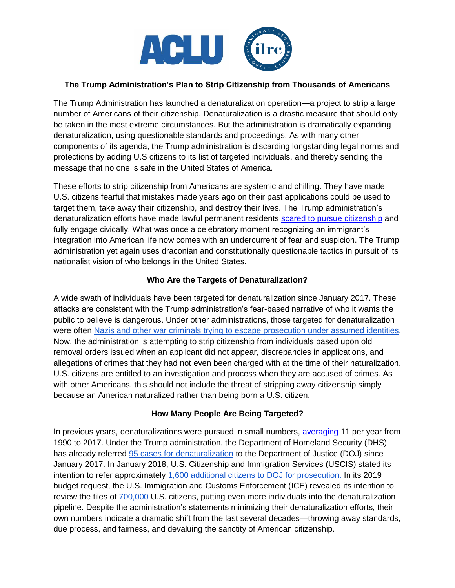

### **The Trump Administration's Plan to Strip Citizenship from Thousands of Americans**

The Trump Administration has launched a denaturalization operation—a project to strip a large number of Americans of their citizenship. Denaturalization is a drastic measure that should only be taken in the most extreme circumstances. But the administration is dramatically expanding denaturalization, using questionable standards and proceedings. As with many other components of its agenda, the Trump administration is discarding longstanding legal norms and protections by adding U.S citizens to its list of targeted individuals, and thereby sending the message that no one is safe in the United States of America.

These efforts to strip citizenship from Americans are systemic and chilling. They have made U.S. citizens fearful that mistakes made years ago on their past applications could be used to target them, take away their citizenship, and destroy their lives. The Trump administration's denaturalization efforts have made lawful permanent residents [scared to pursue citizenship](https://www.timesledger.com/stories/2018/31/naturalizationclinic_2018_08_03_q.html) and fully engage civically. What was once a celebratory moment recognizing an immigrant's integration into American life now comes with an undercurrent of fear and suspicion. The Trump administration yet again uses draconian and constitutionally questionable tactics in pursuit of its nationalist vision of who belongs in the United States.

# **Who Are the Targets of Denaturalization?**

A wide swath of individuals have been targeted for denaturalization since January 2017. These attacks are consistent with the Trump administration's fear-based narrative of who it wants the public to believe is dangerous. Under other administrations, those targeted for denaturalization were often [Nazis and other war criminals trying to escape prosecution under assumed identities.](https://slate.com/news-and-politics/2018/06/trump-administration-launches-denaturalization-effort-to-strip-citizenship-from-those-suspected-of-irregularities.html) Now, the administration is attempting to strip citizenship from individuals based upon old removal orders issued when an applicant did not appear, discrepancies in applications, and allegations of crimes that they had not even been charged with at the time of their naturalization. U.S. citizens are entitled to an investigation and process when they are accused of crimes. As with other Americans, this should not include the threat of stripping away citizenship simply because an American naturalized rather than being born a U.S. citizen.

# **How Many People Are Being Targeted?**

In previous years, denaturalizations were pursued in small numbers, [averaging](https://www.nytimes.com/2018/07/23/us/denaturalize-citizen-immigration.html) 11 per year from 1990 to 2017. Under the Trump administration, the Department of Homeland Security (DHS) has already referred [95 cases for denaturalization](https://bipartisanpolicy.org/blog/immigrants-can-the-government-revoke-your-citizenship/) to the Department of Justice (DOJ) since January 2017. In January 2018, U.S. Citizenship and Immigration Services (USCIS) stated its intention to refer approximately [1,600 additional citizens to DOJ for prosecution.](https://www.justice.gov/opa/pr/justice-department-secures-first-denaturalization-result-operation-janus) In its 2019 budget request, the U.S. Immigration and Customs Enforcement (ICE) revealed its intention to review the files of [700,000 U](https://www.dhs.gov/sites/default/files/publications/U.S.%20Immigration%20and%20Customs%20Enforcement.pdf).S. citizens, putting even more individuals into the denaturalization pipeline. Despite the administration's statements minimizing their denaturalization efforts, their own numbers indicate a dramatic shift from the last several decades—throwing away standards, due process, and fairness, and devaluing the sanctity of American citizenship.